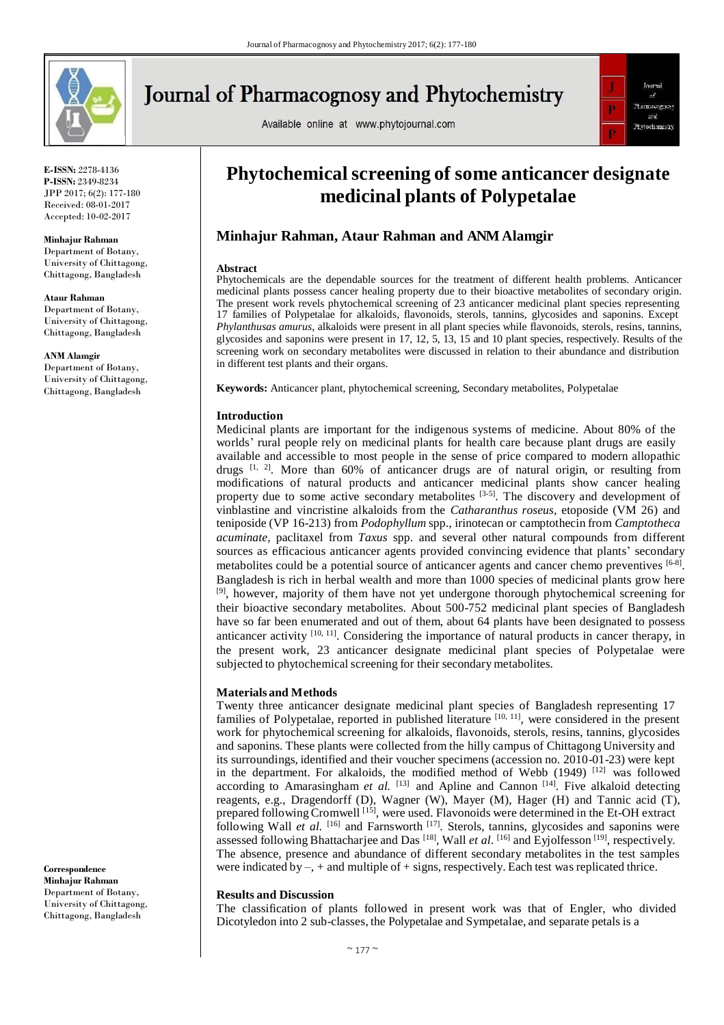

**E-ISSN:** 2278-4136 **P-ISSN:** 2349-8234 JPP 2017; 6(2): 177-180 Received: 08-01-2017 Accepted: 10-02-2017

**Minhajur Rahman**  Department of Botany, University of Chittagong, Chittagong, Bangladesh

**Ataur Rahman**  Department of Botany, University of Chittagong, Chittagong, Bangladesh

**ANM Alamgir**  Department of Botany, University of Chittagong, Chittagong, Bangladesh

**Correspondence Minhajur Rahman**  Department of Botany, University of Chittagong, Chittagong, Bangladesh

# **Journal of Pharmacognosy and Phytochemistry**

Available online at www.phytojournal.com



## **Phytochemical screening of some anticancer designate medicinal plants of Polypetalae**

### **Minhajur Rahman, Ataur Rahman and ANMAlamgir**

#### **Abstract**

Phytochemicals are the dependable sources for the treatment of different health problems. Anticancer medicinal plants possess cancer healing property due to their bioactive metabolites of secondary origin. The present work revels phytochemical screening of 23 anticancer medicinal plant species representing 17 families of Polypetalae for alkaloids, flavonoids, sterols, tannins, glycosides and saponins. Except *Phylanthusas amurus*, alkaloids were present in all plant species while flavonoids, sterols, resins, tannins, glycosides and saponins were present in 17, 12, 5, 13, 15 and 10 plant species, respectively. Results of the screening work on secondary metabolites were discussed in relation to their abundance and distribution in different test plants and their organs.

**Keywords:** Anticancer plant, phytochemical screening, Secondary metabolites, Polypetalae

#### **Introduction**

Medicinal plants are important for the indigenous systems of medicine. About 80% of the worlds' rural people rely on medicinal plants for health care because plant drugs are easily available and accessible to most people in the sense of price compared to modern allopathic drugs  $[1, 2]$ . More than 60% of anticancer drugs are of natural origin, or resulting from modifications of natural products and anticancer medicinal plants show cancer healing property due to some active secondary metabolites  $[3-5]$ . The discovery and development of vinblastine and vincristine alkaloids from the *Catharanthus roseus*, etoposide (VM 26) and teniposide (VP 16-213) from *Podophyllum* spp., irinotecan or camptothecin from *Camptotheca acuminate*, paclitaxel from *Taxus* spp. and several other natural compounds from different sources as efficacious anticancer agents provided convincing evidence that plants' secondary metabolites could be a potential source of anticancer agents and cancer chemo preventives [6-8]. Bangladesh is rich in herbal wealth and more than 1000 species of medicinal plants grow here <sup>[9]</sup>, however, majority of them have not yet undergone thorough phytochemical screening for their bioactive secondary metabolites. About 500-752 medicinal plant species of Bangladesh have so far been enumerated and out of them, about 64 plants have been designated to possess anticancer activity  $[10, 11]$ . Considering the importance of natural products in cancer therapy, in the present work, 23 anticancer designate medicinal plant species of Polypetalae were subjected to phytochemical screening for their secondary metabolites.

#### **Materials and Methods**

Twenty three anticancer designate medicinal plant species of Bangladesh representing 17 families of Polypetalae, reported in published literature [10, 11], were considered in the present work for phytochemical screening for alkaloids, flavonoids, sterols, resins, tannins, glycosides and saponins. These plants were collected from the hilly campus of Chittagong University and its surroundings, identified and their voucher specimens (accession no. 2010-01-23) were kept in the department. For alkaloids, the modified method of Webb  $(1949)^{\lfloor 12 \rfloor}$  was followed according to Amarasingham *et al.*  $[13]$  and Apline and Cannon  $[14]$ . Five alkaloid detecting reagents, e.g., Dragendorff (D), Wagner (W), Mayer (M), Hager (H) and Tannic acid (T), prepared following Cromwell<sup>[15]</sup>, were used. Flavonoids were determined in the Et-OH extract following Wall *et al.* [16] and Farnsworth [17]. Sterols, tannins, glycosides and saponins were assessed following Bhattacharjee and Das<sup>[18]</sup>, Wall *et al.* [<sup>16]</sup> and Eyjolfesson<sup>[19]</sup>, respectively. The absence, presence and abundance of different secondary metabolites in the test samples were indicated by  $-$ ,  $+$  and multiple of  $+$  signs, respectively. Each test was replicated thrice.

#### **Results and Discussion**

The classification of plants followed in present work was that of Engler, who divided Dicotyledon into 2 sub-classes, the Polypetalae and Sympetalae, and separate petals is a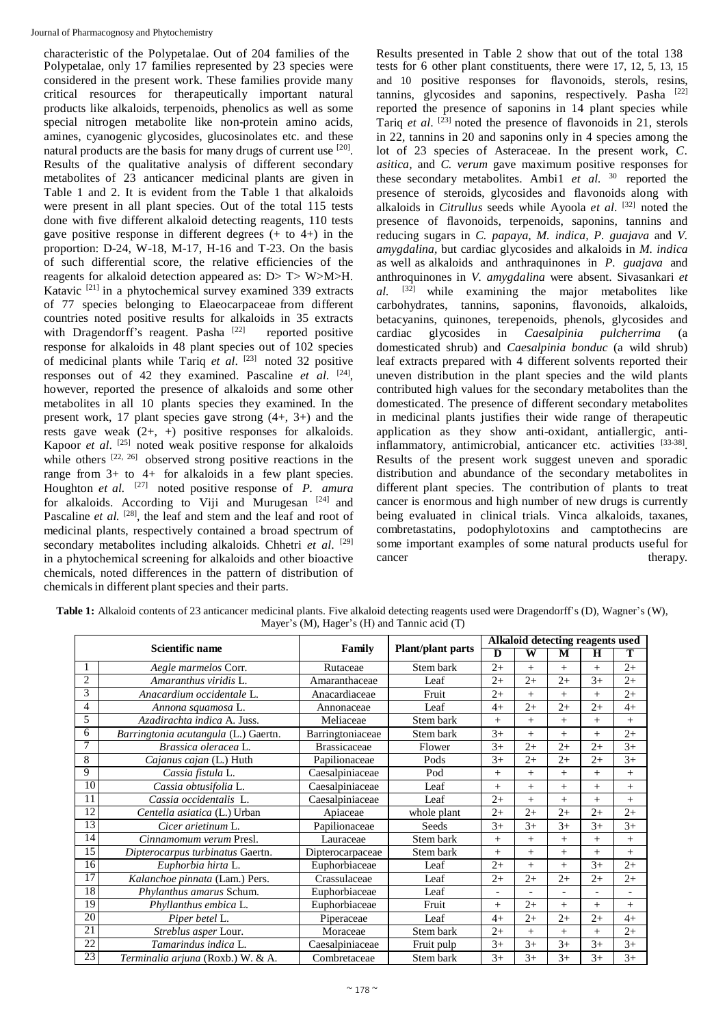characteristic of the Polypetalae. Out of 204 families of the Results presented in Table 2 show that out of the total 138 Polypetalae, only 17 families represented by 23 species were considered in the present work. These families provide many critical resources for therapeutically important natural products like alkaloids, terpenoids, phenolics as well as some special nitrogen metabolite like non-protein amino acids, amines, cyanogenic glycosides, glucosinolates etc. and these natural products are the basis for many drugs of current use [20]. Results of the qualitative analysis of different secondary metabolites of 23 anticancer medicinal plants are given in Table 1 and 2. It is evident from the Table 1 that alkaloids were present in all plant species. Out of the total 115 tests done with five different alkaloid detecting reagents, 110 tests gave positive response in different degrees  $(+$  to  $4+)$  in the proportion: D-24, W-18, M-17, H-16 and T-23. On the basis of such differential score, the relative efficiencies of the reagents for alkaloid detection appeared as: D> T> W>M>H. Katavic [21] in a phytochemical survey examined 339 extracts of 77 species belonging to Elaeocarpaceae from different countries noted positive results for alkaloids in 35 extracts with Dragendorff's reagent. Pasha<sup>[22]</sup> reported positive response for alkaloids in 48 plant species out of 102 species of medicinal plants while Tariq *et al*. [23] noted 32 positive responses out of 42 they examined. Pascaline *et al*. [24] , however, reported the presence of alkaloids and some other metabolites in all 10 plants species they examined. In the present work, 17 plant species gave strong (4+, 3+) and the rests gave weak  $(2+, +)$  positive responses for alkaloids. Kapoor *et al*. [25] noted weak positive response for alkaloids while others  $[22, 26]$  observed strong positive reactions in the range from  $3+$  to  $4+$  for alkaloids in a few plant species. Houghton *et al.* [27] noted positive response of *P. amura*  for alkaloids. According to Viji and Murugesan  $[24]$  and Pascaline *et al.* <sup>[28]</sup>, the leaf and stem and the leaf and root of medicinal plants, respectively contained a broad spectrum of secondary metabolites including alkaloids. Chhetri *et al*. [29] in a phytochemical screening for alkaloids and other bioactive chemicals, noted differences in the pattern of distribution of chemicals in different plant species and their parts.

tests for 6 other plant constituents, there were 17, 12, 5, 13, 15 and 10 positive responses for flavonoids, sterols, resins, tannins, glycosides and saponins, respectively. Pasha<sup>[22]</sup> reported the presence of saponins in 14 plant species while Tariq *et al*. [23] noted the presence of flavonoids in 21, sterols in 22, tannins in 20 and saponins only in 4 species among the lot of 23 species of Asteraceae. In the present work, *C. asitica,* and *C. verum* gave maximum positive responses for these secondary metabolites. Ambi1 *et al.* <sup>30</sup> reported the presence of steroids, glycosides and flavonoids along with alkaloids in *Citrullus* seeds while Ayoola *et al*. [32] noted the presence of flavonoids, terpenoids, saponins, tannins and reducing sugars in *C. papaya, M. indica, P. guajava* and *V. amygdalina,* but cardiac glycosides and alkaloids in *M. indica*  as well as alkaloids and anthraquinones in *P. guajava* and anthroquinones in *V. amygdalina* were absent. Sivasankari *et al.* [32] while examining the major metabolites like carbohydrates, tannins, saponins, flavonoids, alkaloids, betacyanins, quinones, terepenoids, phenols, glycosides and cardiac glycosides in *Caesalpinia pulcherrima* (a domesticated shrub) and *Caesalpinia bonduc* (a wild shrub) leaf extracts prepared with 4 different solvents reported their uneven distribution in the plant species and the wild plants contributed high values for the secondary metabolites than the domesticated. The presence of different secondary metabolites in medicinal plants justifies their wide range of therapeutic application as they show anti-oxidant, antiallergic, antiinflammatory, antimicrobial, anticancer etc. activities [33-38]. Results of the present work suggest uneven and sporadic distribution and abundance of the secondary metabolites in different plant species. The contribution of plants to treat cancer is enormous and high number of new drugs is currently being evaluated in clinical trials. Vinca alkaloids, taxanes, combretastatins, podophylotoxins and camptothecins are some important examples of some natural products useful for cancer therapy.

|                 |                                      |                     |                          | Alkaloid detecting reagents used |        |        |         |                          |
|-----------------|--------------------------------------|---------------------|--------------------------|----------------------------------|--------|--------|---------|--------------------------|
|                 | Scientific name                      | Family              | <b>Plant/plant parts</b> | D                                | W      | M      | $\bf H$ | Т                        |
| 1               | Aegle marmelos Corr.                 | Rutaceae            | Stem bark                | $2+$                             | $^{+}$ | $^{+}$ | $^{+}$  | $2+$                     |
| $\overline{2}$  | Amaranthus viridis L.                | Amaranthaceae       | Leaf                     | $2+$                             | $2+$   | $2+$   | $3+$    | $2+$                     |
| 3               | Anacardium occidentale L.            | Anacardiaceae       | Fruit                    | $2+$                             | $^{+}$ | $^{+}$ | $^{+}$  | $2+$                     |
| $\overline{4}$  | Annona squamosa L.                   | Annonaceae          | Leaf                     | $4+$                             | $2+$   | $2+$   | $2+$    | $4+$                     |
| 5               | Azadirachta indica A. Juss.          | Meliaceae           | Stem bark                | $^{+}$                           | $^{+}$ | $^{+}$ | $^{+}$  | $^{+}$                   |
| 6               | Barringtonia acutangula (L.) Gaertn. | Barringtoniaceae    | Stem bark                | $3+$                             | $^{+}$ | $^{+}$ | $^{+}$  | $2+$                     |
| 7               | Brassica oleracea L.                 | <b>Brassicaceae</b> | Flower                   | $3+$                             | $2+$   | $2+$   | $2+$    | $\overline{3+}$          |
| 8               | Cajanus cajan (L.) Huth              | Papilionaceae       | Pods                     | $3+$                             | $2+$   | $2+$   | $2+$    | $3+$                     |
| 9               | Cassia fistula L.                    | Caesalpiniaceae     | Pod                      | $^{+}$                           | $^{+}$ | $+$    | $^{+}$  | $^{+}$                   |
| 10              | Cassia obtusifolia L.                | Caesalpiniaceae     | Leaf                     | $^{+}$                           | $^{+}$ | $+$    | $^{+}$  | $^{+}$                   |
| 11              | Cassia occidentalis L.               | Caesalpiniaceae     | Leaf                     | $2+$                             | $^{+}$ | $+$    | $^{+}$  | $+$                      |
| 12              | Centella asiatica (L.) Urban         | Apiaceae            | whole plant              | $2+$                             | $2+$   | $2+$   | $2+$    | $2+$                     |
| 13              | Cicer arietinum L.                   | Papilionaceae       | Seeds                    | $3+$                             | $3+$   | $3+$   | $3+$    | $3+$                     |
| 14              | Cinnamomum verum Presl.              | Lauraceae           | Stem bark                | $^{+}$                           | $^{+}$ | $^{+}$ | $^{+}$  | $^{+}$                   |
| 15              | Dipterocarpus turbinatus Gaertn.     | Dipterocarpaceae    | Stem bark                | $^{+}$                           | $^{+}$ | $^{+}$ | $^{+}$  | $^{+}$                   |
| 16              | Euphorbia hirta L.                   | Euphorbiaceae       | Leaf                     | $2+$                             | $^{+}$ | $^{+}$ | $3+$    | $2+$                     |
| 17              | Kalanchoe pinnata (Lam.) Pers.       | Crassulaceae        | Leaf                     | $2+$                             | $2+$   | $2+$   | $2+$    | $2+$                     |
| 18              | Phylanthus amarus Schum.             | Euphorbiaceae       | Leaf                     | $\overline{\phantom{a}}$         |        |        |         | $\overline{\phantom{a}}$ |
| 19              | Phyllanthus embica L.                | Euphorbiaceae       | Fruit                    | $^{+}$                           | $2+$   | $^{+}$ | $^{+}$  | $^{+}$                   |
| 20              | Piper betel L.                       | Piperaceae          | Leaf                     | $4+$                             | $2+$   | $2+$   | $2+$    | $4+$                     |
| 21              | Streblus asper Lour.                 | Moraceae            | Stem bark                | $2+$                             | $^{+}$ | $+$    | $^{+}$  | $2+$                     |
| $\overline{22}$ | Tamarindus indica L.                 | Caesalpiniaceae     | Fruit pulp               | $3+$                             | $3+$   | $3+$   | $3+$    | $3+$                     |
| 23              | Terminalia arjuna (Roxb.) W. & A.    | Combretaceae        | Stem bark                | $3+$                             | $3+$   | $3+$   | $3+$    | $3+$                     |

Table 1: Alkaloid contents of 23 anticancer medicinal plants. Five alkaloid detecting reagents used were Dragendorff's (D), Wagner's (W), Mayer's (M), Hager's (H) and Tannic acid (T)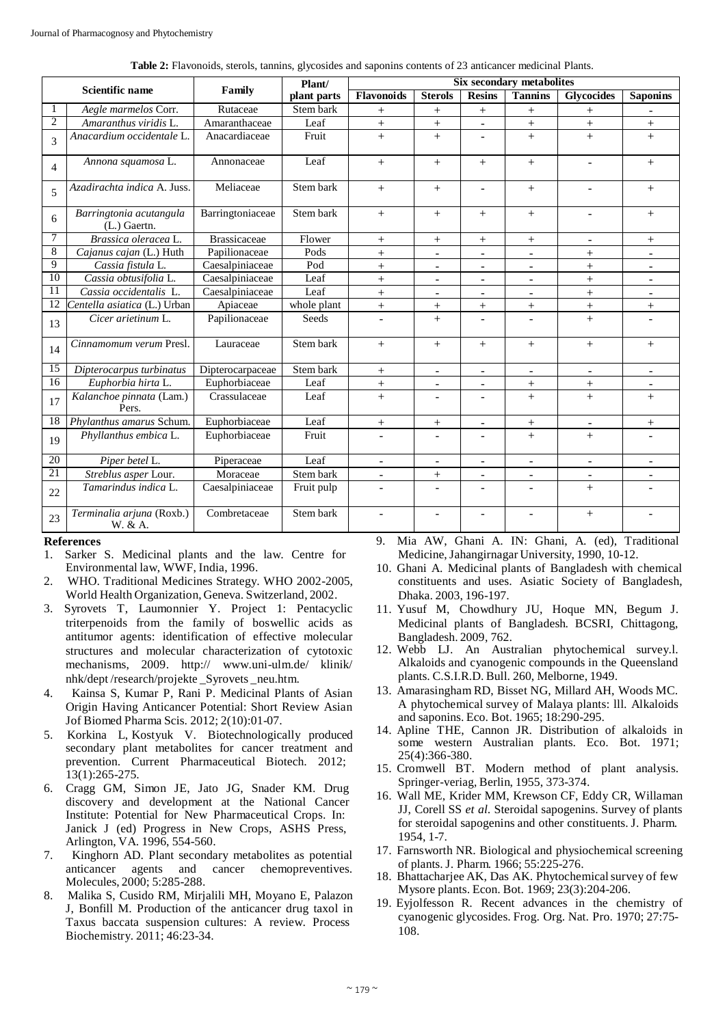| Table 2: Flavonoids, sterols, tannins, glycosides and saponins contents of 23 anticancer medicinal Plants. |  |  |  |
|------------------------------------------------------------------------------------------------------------|--|--|--|
|                                                                                                            |  |  |  |

| Scientific name |                                           | Family              | Plant/      | <b>Six secondary metabolites</b> |                          |                          |                          |                          |                 |  |
|-----------------|-------------------------------------------|---------------------|-------------|----------------------------------|--------------------------|--------------------------|--------------------------|--------------------------|-----------------|--|
|                 |                                           |                     | plant parts | <b>Flavonoids</b>                | <b>Sterols</b>           | <b>Resins</b>            | <b>Tannins</b>           | <b>Glycocides</b>        | <b>Saponins</b> |  |
| H               | Aegle marmelos Corr.                      | Rutaceae            | Stem bark   | $^{+}$                           |                          | $^{+}$                   | $^{+}$                   | $^{+}$                   | $\overline{a}$  |  |
| $\overline{2}$  | Amaranthus viridis L.                     | Amaranthaceae       | Leaf        | $^{+}$                           | $\boldsymbol{+}$         | $\overline{\phantom{a}}$ | $^{+}$                   | $\boldsymbol{+}$         | $^{+}$          |  |
| $\mathcal{R}$   | Anacardium occidentale L.                 | Anacardiaceae       | Fruit       | $+$                              | $^{+}$                   | $\overline{\phantom{a}}$ | $^{+}$                   | $^{+}$                   | $^{+}$          |  |
| $\overline{4}$  | Annona squamosa L.                        | Annonaceae          | Leaf        | $+$                              | $+$                      | $+$                      | $^{+}$                   | $\overline{a}$           | $^{+}$          |  |
| $\overline{5}$  | Azadirachta indica A. Juss.               | Meliaceae           | Stem bark   | $+$                              | $+$                      | $\blacksquare$           | $^{+}$                   | ÷                        | $^{+}$          |  |
| 6               | Barringtonia acutangula<br>$(L.)$ Gaertn. | Barringtoniaceae    | Stem bark   | $^{+}$                           | $^{+}$                   | $+$                      | $^{+}$                   | ÷                        | $^{+}$          |  |
| 7               | Brassica oleracea L.                      | <b>Brassicaceae</b> | Flower      | $^{+}$                           | $^{+}$                   | $+$                      | $^{+}$                   | $\overline{\phantom{a}}$ | $^{+}$          |  |
| 8               | Cajanus cajan (L.) Huth                   | Papilionaceae       | Pods        | $^{+}$                           | $\overline{\phantom{a}}$ | $\overline{\phantom{a}}$ | $\blacksquare$           | $^{+}$                   | $\blacksquare$  |  |
| $\overline{Q}$  | Cassia fistula L.                         | Caesalpiniaceae     | Pod         | $^{+}$                           | $\blacksquare$           | $\blacksquare$           | $\blacksquare$           | $^{+}$                   | $\blacksquare$  |  |
| 10              | Cassia obtusifolia L.                     | Caesalpiniaceae     | Leaf        | $^{+}$                           | $\blacksquare$           | $\blacksquare$           | $\mathbf{r}$             | $^{+}$                   | $\sim$          |  |
| $\overline{11}$ | Cassia occidentalis L.                    | Caesalpiniaceae     | Leaf        | $^{+}$                           |                          |                          |                          | $+$                      |                 |  |
| 12              | Centella asiatica (L.) Urban              | Apiaceae            | whole plant | $^{+}$                           | $^{+}$                   | $+$                      | $+$                      | $^{+}$                   | $^{+}$          |  |
| 13              | Cicer arietinum L.                        | Papilionaceae       | Seeds       |                                  | $^{+}$                   |                          |                          | $^{+}$                   |                 |  |
| 14              | Cinnamomum verum Presl.                   | Lauraceae           | Stem bark   | $+$                              | $^{+}$                   | $+$                      | $^{+}$                   | $+$                      | $^{+}$          |  |
| $\overline{15}$ | Dipterocarpus turbinatus                  | Dipterocarpaceae    | Stem bark   | $^{+}$                           | $\overline{\phantom{a}}$ | $\overline{\phantom{a}}$ | $\blacksquare$           | $\overline{\phantom{a}}$ | $\blacksquare$  |  |
| 16              | Euphorbia hirta L.                        | Euphorbiaceae       | Leaf        | $\boldsymbol{+}$                 | $\overline{\phantom{a}}$ | $\overline{\phantom{a}}$ | $\! +$                   | $^{+}$                   | $\blacksquare$  |  |
| 17              | Kalanchoe pinnata (Lam.)<br>Pers.         | Crassulaceae        | Leaf        | $+$                              | $\blacksquare$           | $\blacksquare$           | $^{+}$                   | $^{+}$                   | $^{+}$          |  |
| 18              | Phylanthus amarus Schum.                  | Euphorbiaceae       | Leaf        | $^{+}$                           | $^{+}$                   |                          | $^{+}$                   |                          | $^{+}$          |  |
| 19              | Phyllanthus embica L.                     | Euphorbiaceae       | Fruit       |                                  |                          |                          | $^{+}$                   | $^{+}$                   |                 |  |
| 20              | Piper betel L.                            | Piperaceae          | Leaf        |                                  | $\sim$                   | ÷                        | $\sim$                   | $\overline{a}$           |                 |  |
| 21              | Streblus asper Lour.                      | Moraceae            | Stem bark   |                                  | $^{+}$                   |                          | $\blacksquare$           |                          |                 |  |
| 22              | Tamarindus indica L.                      | Caesalpiniaceae     | Fruit pulp  | $\overline{\phantom{0}}$         | $\overline{\phantom{a}}$ |                          | $\overline{\phantom{a}}$ | $^{+}$                   |                 |  |
| 23              | Terminalia arjuna (Roxb.)<br>W. & A.      | Combretaceae        | Stem bark   | $\overline{a}$                   | $\blacksquare$           | $\overline{\phantom{a}}$ | $\blacksquare$           | $\! +$                   | $\blacksquare$  |  |

#### **References**

- 1. Sarker S. Medicinal plants and the law. Centre for Environmental law, WWF, India, 1996.
- 2. WHO. Traditional Medicines Strategy. WHO 2002-2005, World Health Organization, Geneva. Switzerland, 2002.
- 3. Syrovets T, Laumonnier Y. Project 1: Pentacyclic triterpenoids from the family of boswellic acids as antitumor agents: identification of effective molecular structures and molecular characterization of cytotoxic mechanisms, 2009. http:// [www.uni-ulm.de/ kl](http://www.uni-ulm.de/)inik/ nhk/dept /research/projekte \_Syrovets \_neu.htm.
- 4. Kainsa S, Kumar P, Rani P. Medicinal Plants of Asian Origin Having Anticancer Potential: Short Review Asian Jof Biomed Pharma Scis. 2012; 2(10):01-07.
- 5. Korkina L, Kostyuk V. Biotechnologically produced secondary plant metabolites for cancer treatment and prevention. Current Pharmaceutical Biotech. 2012; 13(1):265-275.
- 6. Cragg GM, Simon JE, Jato JG, Snader KM. Drug discovery and development at the National Cancer Institute: Potential for New Pharmaceutical Crops. In: Janick J (ed) Progress in New Crops, ASHS Press, Arlington, VA. 1996, 554-560.
- 7. Kinghorn AD. Plant secondary metabolites as potential anticancer agents and cancer chemopreventives. Molecules, 2000; 5:285-288.
- 8. Malika S, Cusido RM, Mirjalili MH, Moyano E, Palazon J, Bonfill M. Production of the anticancer drug taxol in Taxus baccata suspension cultures: A review. Process Biochemistry. 2011; 46:23-34.

9. Mia AW, Ghani A. IN: Ghani, A. (ed), Traditional Medicine,Jahangirnagar University, 1990, 10-12.

- 10. Ghani A. Medicinal plants of Bangladesh with chemical constituents and uses. Asiatic Society of Bangladesh, Dhaka. 2003, 196-197.
- 11. Yusuf M, Chowdhury JU, Hoque MN, Begum J. Medicinal plants of Bangladesh. BCSRI, Chittagong, Bangladesh. 2009, 762.
- 12. Webb LJ. An Australian phytochemical survey.l. Alkaloids and cyanogenic compounds in the Queensland plants. C.S.I.R.D. Bull. 260, Melborne, 1949.
- 13. Amarasingham RD, Bisset NG, Millard AH, Woods MC. A phytochemical survey of Malaya plants: lll. Alkaloids and saponins. Eco. Bot. 1965; 18:290-295.
- 14. Apline THE, Cannon JR. Distribution of alkaloids in some western Australian plants. Eco. Bot. 1971; 25(4):366-380.
- 15. Cromwell BT. Modern method of plant analysis. Springer-veriag, Berlin, 1955, 373-374.
- 16. Wall ME, Krider MM, Krewson CF, Eddy CR, Willaman JJ, Corell SS *et al*. Steroidal sapogenins. Survey of plants for steroidal sapogenins and other constituents. J. Pharm. 1954, 1-7.
- 17. Farnsworth NR. Biological and physiochemical screening of plants. J. Pharm. 1966; 55:225-276.
- 18. Bhattacharjee AK, Das AK. Phytochemical survey of few Mysore plants. Econ. Bot. 1969; 23(3):204-206.
- 19. Eyjolfesson R. Recent advances in the chemistry of cyanogenic glycosides. Frog. Org. Nat. Pro. 1970; 27:75- 108.